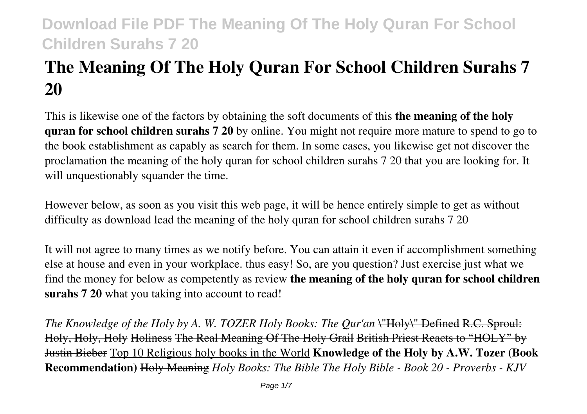# **The Meaning Of The Holy Quran For School Children Surahs 7 20**

This is likewise one of the factors by obtaining the soft documents of this **the meaning of the holy quran for school children surahs 7 20** by online. You might not require more mature to spend to go to the book establishment as capably as search for them. In some cases, you likewise get not discover the proclamation the meaning of the holy quran for school children surahs 7 20 that you are looking for. It will unquestionably squander the time.

However below, as soon as you visit this web page, it will be hence entirely simple to get as without difficulty as download lead the meaning of the holy quran for school children surahs 7 20

It will not agree to many times as we notify before. You can attain it even if accomplishment something else at house and even in your workplace. thus easy! So, are you question? Just exercise just what we find the money for below as competently as review **the meaning of the holy quran for school children surahs 7 20** what you taking into account to read!

*The Knowledge of the Holy by A. W. TOZER Holy Books: The Qur'an* \"Holy\" Defined R.C. Sproul: Holy, Holy, Holy Holiness The Real Meaning Of The Holy Grail British Priest Reacts to "HOLY" by Justin Bieber Top 10 Religious holy books in the World **Knowledge of the Holy by A.W. Tozer (Book Recommendation)** Holy Meaning *Holy Books: The Bible The Holy Bible - Book 20 - Proverbs - KJV*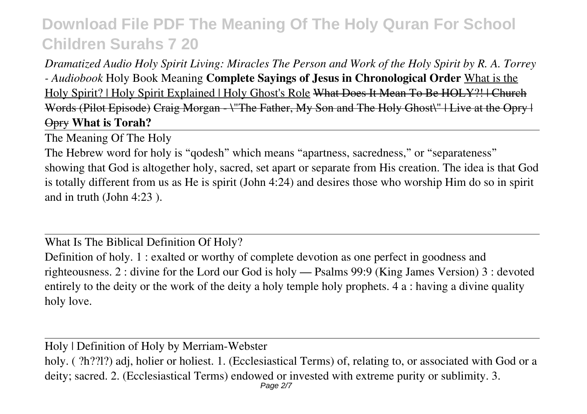*Dramatized Audio Holy Spirit Living: Miracles The Person and Work of the Holy Spirit by R. A. Torrey - Audiobook* Holy Book Meaning **Complete Sayings of Jesus in Chronological Order** What is the Holy Spirit? | Holy Spirit Explained | Holy Ghost's Role What Does It Mean To Be HOLY?! | Church Words (Pilot Episode) Craig Morgan - \"The Father, My Son and The Holy Ghost\" | Live at the Opry | Opry **What is Torah?**

The Meaning Of The Holy

The Hebrew word for holy is "qodesh" which means "apartness, sacredness," or "separateness" showing that God is altogether holy, sacred, set apart or separate from His creation. The idea is that God is totally different from us as He is spirit (John 4:24) and desires those who worship Him do so in spirit and in truth (John 4:23 ).

What Is The Biblical Definition Of Holy?

Definition of holy. 1 : exalted or worthy of complete devotion as one perfect in goodness and righteousness. 2 : divine for the Lord our God is holy — Psalms 99:9 (King James Version) 3 : devoted entirely to the deity or the work of the deity a holy temple holy prophets. 4 a : having a divine quality holy love.

Holy | Definition of Holy by Merriam-Webster

holy. ( ?h??l?) adj, holier or holiest. 1. (Ecclesiastical Terms) of, relating to, or associated with God or a deity; sacred. 2. (Ecclesiastical Terms) endowed or invested with extreme purity or sublimity. 3. Page 2/7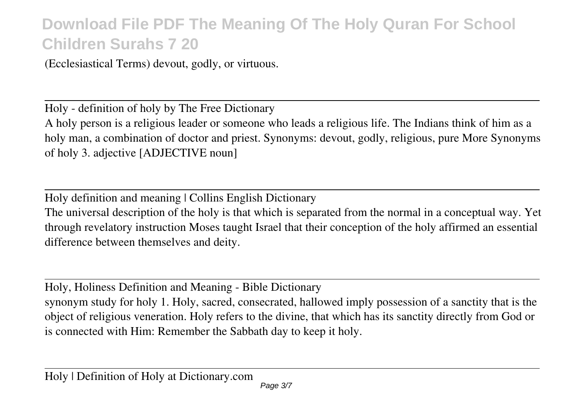(Ecclesiastical Terms) devout, godly, or virtuous.

Holy - definition of holy by The Free Dictionary A holy person is a religious leader or someone who leads a religious life. The Indians think of him as a holy man, a combination of doctor and priest. Synonyms: devout, godly, religious, pure More Synonyms of holy 3. adjective [ADJECTIVE noun]

Holy definition and meaning | Collins English Dictionary The universal description of the holy is that which is separated from the normal in a conceptual way. Yet through revelatory instruction Moses taught Israel that their conception of the holy affirmed an essential difference between themselves and deity.

Holy, Holiness Definition and Meaning - Bible Dictionary

synonym study for holy 1. Holy, sacred, consecrated, hallowed imply possession of a sanctity that is the object of religious veneration. Holy refers to the divine, that which has its sanctity directly from God or is connected with Him: Remember the Sabbath day to keep it holy.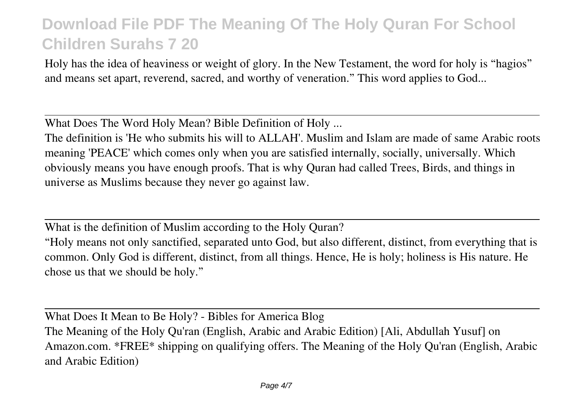Holy has the idea of heaviness or weight of glory. In the New Testament, the word for holy is "hagios" and means set apart, reverend, sacred, and worthy of veneration." This word applies to God...

What Does The Word Holy Mean? Bible Definition of Holy ...

The definition is 'He who submits his will to ALLAH'. Muslim and Islam are made of same Arabic roots meaning 'PEACE' which comes only when you are satisfied internally, socially, universally. Which obviously means you have enough proofs. That is why Quran had called Trees, Birds, and things in universe as Muslims because they never go against law.

What is the definition of Muslim according to the Holy Quran?

"Holy means not only sanctified, separated unto God, but also different, distinct, from everything that is common. Only God is different, distinct, from all things. Hence, He is holy; holiness is His nature. He chose us that we should be holy."

What Does It Mean to Be Holy? - Bibles for America Blog The Meaning of the Holy Qu'ran (English, Arabic and Arabic Edition) [Ali, Abdullah Yusuf] on Amazon.com. \*FREE\* shipping on qualifying offers. The Meaning of the Holy Qu'ran (English, Arabic and Arabic Edition)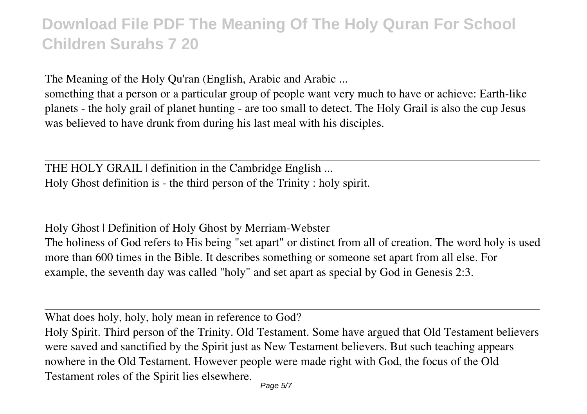The Meaning of the Holy Qu'ran (English, Arabic and Arabic ...

something that a person or a particular group of people want very much to have or achieve: Earth-like planets - the holy grail of planet hunting - are too small to detect. The Holy Grail is also the cup Jesus was believed to have drunk from during his last meal with his disciples.

THE HOLY GRAIL | definition in the Cambridge English ... Holy Ghost definition is - the third person of the Trinity : holy spirit.

Holy Ghost | Definition of Holy Ghost by Merriam-Webster The holiness of God refers to His being "set apart" or distinct from all of creation. The word holy is used more than 600 times in the Bible. It describes something or someone set apart from all else. For example, the seventh day was called "holy" and set apart as special by God in Genesis 2:3.

What does holy, holy, holy mean in reference to God?

Holy Spirit. Third person of the Trinity. Old Testament. Some have argued that Old Testament believers were saved and sanctified by the Spirit just as New Testament believers. But such teaching appears nowhere in the Old Testament. However people were made right with God, the focus of the Old Testament roles of the Spirit lies elsewhere.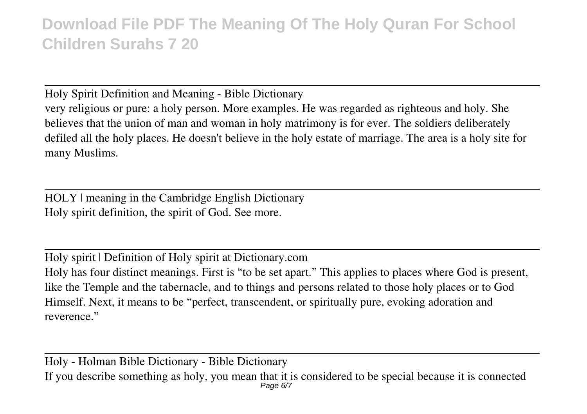Holy Spirit Definition and Meaning - Bible Dictionary

very religious or pure: a holy person. More examples. He was regarded as righteous and holy. She believes that the union of man and woman in holy matrimony is for ever. The soldiers deliberately defiled all the holy places. He doesn't believe in the holy estate of marriage. The area is a holy site for many Muslims.

HOLY | meaning in the Cambridge English Dictionary Holy spirit definition, the spirit of God. See more.

Holy spirit | Definition of Holy spirit at Dictionary.com Holy has four distinct meanings. First is "to be set apart." This applies to places where God is present, like the Temple and the tabernacle, and to things and persons related to those holy places or to God Himself. Next, it means to be "perfect, transcendent, or spiritually pure, evoking adoration and reverence."

Holy - Holman Bible Dictionary - Bible Dictionary If you describe something as holy, you mean that it is considered to be special because it is connected Page 6/7